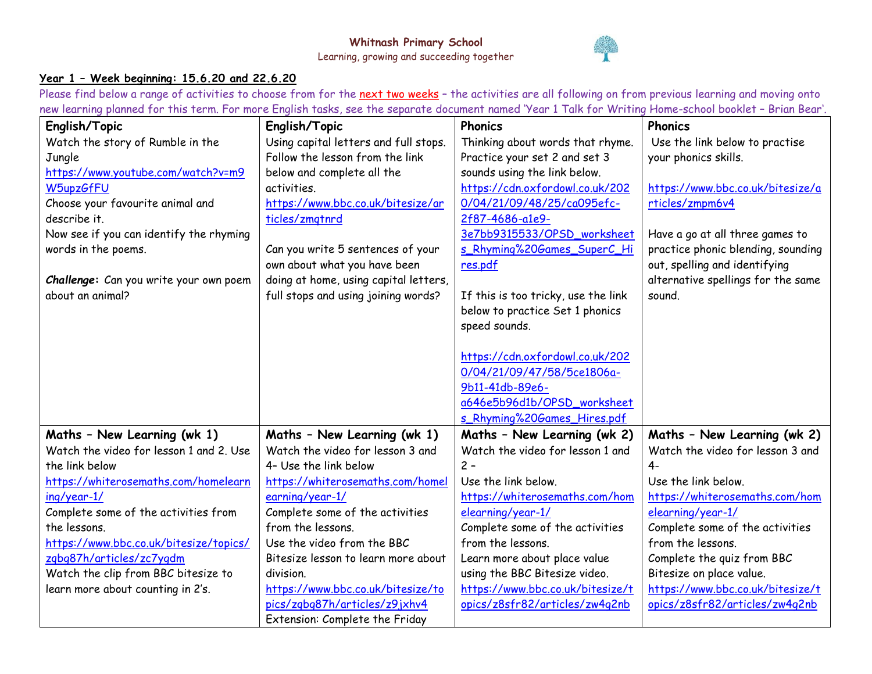

## **Year 1 – Week beginning: 15.6.20 and 22.6.20**

Please find below a range of activities to choose from for the next two weeks - the activities are all following on from previous learning and moving onto new learning planned for this term. For more English tasks, see the separate document named 'Year 1 Talk for Writing Home-school booklet – Brian Bear'.

| English/Topic                           | English/Topic                         | Phonics                             | Phonics                            |  |
|-----------------------------------------|---------------------------------------|-------------------------------------|------------------------------------|--|
| Watch the story of Rumble in the        | Using capital letters and full stops. | Thinking about words that rhyme.    | Use the link below to practise     |  |
| Jungle                                  | Follow the lesson from the link       | Practice your set 2 and set 3       | your phonics skills.               |  |
| https://www.youtube.com/watch?v=m9      | below and complete all the            | sounds using the link below.        |                                    |  |
| W5upzGfFU                               | activities.                           | https://cdn.oxfordowl.co.uk/202     | https://www.bbc.co.uk/bitesize/a   |  |
| Choose your favourite animal and        | https://www.bbc.co.uk/bitesize/ar     | 0/04/21/09/48/25/ca095efc-          | rticles/zmpm6v4                    |  |
| describe it.                            | ticles/zmgtnrd                        | 2f87-4686-a1e9-                     |                                    |  |
| Now see if you can identify the rhyming |                                       | 3e7bb9315533/OPSD_worksheet         | Have a go at all three games to    |  |
| words in the poems.                     | Can you write 5 sentences of your     | s Rhyming%20Games SuperC_Hi         | practice phonic blending, sounding |  |
|                                         | own about what you have been          | res.pdf                             | out, spelling and identifying      |  |
| Challenge: Can you write your own poem  | doing at home, using capital letters, |                                     | alternative spellings for the same |  |
| about an animal?                        | full stops and using joining words?   | If this is too tricky, use the link | sound.                             |  |
|                                         |                                       | below to practice Set 1 phonics     |                                    |  |
|                                         |                                       | speed sounds.                       |                                    |  |
|                                         |                                       |                                     |                                    |  |
|                                         |                                       | https://cdn.oxfordowl.co.uk/202     |                                    |  |
|                                         |                                       | 0/04/21/09/47/58/5ce1806a-          |                                    |  |
|                                         |                                       | 9b11-41db-89e6-                     |                                    |  |
|                                         |                                       | a646e5b96d1b/OPSD_worksheet         |                                    |  |
|                                         |                                       | s_Rhyming%20Games_Hires.pdf         |                                    |  |
| Maths - New Learning (wk 1)             | Maths - New Learning (wk 1)           | Maths - New Learning (wk 2)         | Maths - New Learning (wk 2)        |  |
| Watch the video for lesson 1 and 2. Use | Watch the video for lesson 3 and      | Watch the video for lesson 1 and    | Watch the video for lesson 3 and   |  |
| the link below                          | 4- Use the link below                 | $2 -$                               | $4-$                               |  |
| https://whiterosemaths.com/homelearn    | https://whiterosemaths.com/homel      | Use the link below.                 | Use the link below.                |  |
| ing/year-1/                             | earning/year-1/                       | https://whiterosemaths.com/hom      | https://whiterosemaths.com/hom     |  |
| Complete some of the activities from    | Complete some of the activities       | elearning/year-1/                   | elearning/year-1/                  |  |
| the lessons.                            | from the lessons.                     | Complete some of the activities     | Complete some of the activities    |  |
| https://www.bbc.co.uk/bitesize/topics/  | Use the video from the BBC            | from the lessons.                   | from the lessons.                  |  |
| zqbq87h/articles/zc7yqdm                | Bitesize lesson to learn more about   | Learn more about place value        | Complete the quiz from BBC         |  |
| Watch the clip from BBC bitesize to     | division.                             | using the BBC Bitesize video.       | Bitesize on place value.           |  |
| learn more about counting in 2's.       | https://www.bbc.co.uk/bitesize/to     | https://www.bbc.co.uk/bitesize/t    | https://www.bbc.co.uk/bitesize/t   |  |
|                                         | pics/zqbq87h/articles/z9jxhv4         | opics/z8sfr82/articles/zw4q2nb      | opics/z8sfr82/articles/zw4q2nb     |  |
|                                         | Extension: Complete the Friday        |                                     |                                    |  |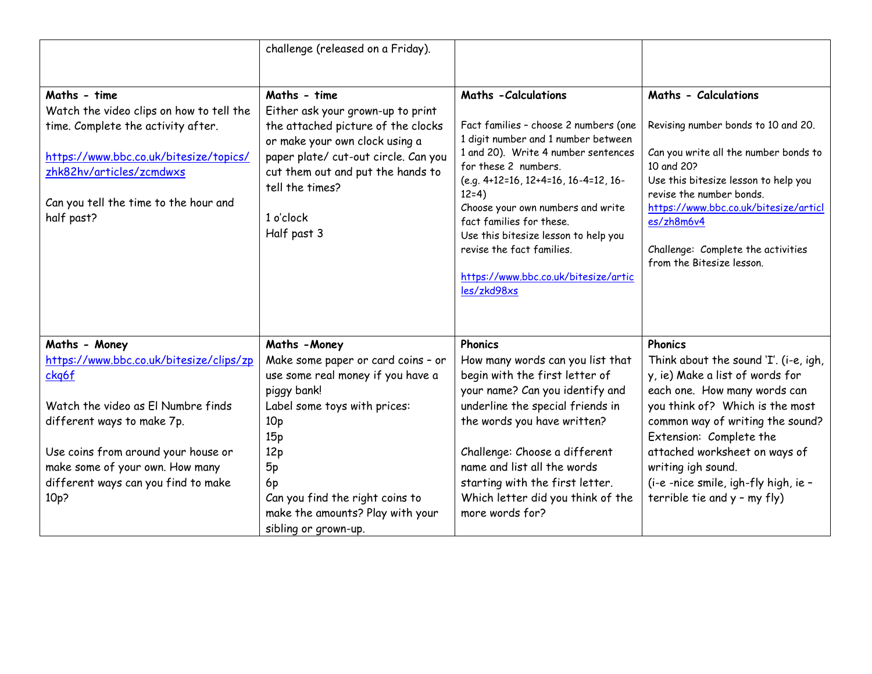|                                                                                                                                                                                                                             | challenge (released on a Friday).                                                                                                                                                                                                      |                                                                                                                                                                                                                                                                                                |                                                                                                                                                                                                                                               |  |
|-----------------------------------------------------------------------------------------------------------------------------------------------------------------------------------------------------------------------------|----------------------------------------------------------------------------------------------------------------------------------------------------------------------------------------------------------------------------------------|------------------------------------------------------------------------------------------------------------------------------------------------------------------------------------------------------------------------------------------------------------------------------------------------|-----------------------------------------------------------------------------------------------------------------------------------------------------------------------------------------------------------------------------------------------|--|
|                                                                                                                                                                                                                             |                                                                                                                                                                                                                                        |                                                                                                                                                                                                                                                                                                |                                                                                                                                                                                                                                               |  |
| Maths - time<br>Watch the video clips on how to tell the<br>time. Complete the activity after.<br>https://www.bbc.co.uk/bitesize/topics/<br>zhk82hv/articles/zcmdwxs<br>Can you tell the time to the hour and<br>half past? | Maths - time<br>Either ask your grown-up to print<br>the attached picture of the clocks<br>or make your own clock using a<br>paper plate/ cut-out circle. Can you<br>cut them out and put the hands to<br>tell the times?<br>1 o'clock | <b>Maths - Calculations</b><br>Fact families - choose 2 numbers (one<br>1 digit number and 1 number between<br>1 and 20). Write 4 number sentences<br>for these 2 numbers.<br>(e.g. 4+12=16, 12+4=16, 16-4=12, 16-<br>$12=4)$<br>Choose your own numbers and write<br>fact families for these. | Maths - Calculations<br>Revising number bonds to 10 and 20.<br>Can you write all the number bonds to<br>10 and 20?<br>Use this bitesize lesson to help you<br>revise the number bonds.<br>https://www.bbc.co.uk/bitesize/articl<br>es/zh8m6v4 |  |
|                                                                                                                                                                                                                             | Half past 3                                                                                                                                                                                                                            | Use this bitesize lesson to help you<br>revise the fact families.<br>https://www.bbc.co.uk/bitesize/artic<br>les/zkd98xs                                                                                                                                                                       | Challenge: Complete the activities<br>from the Bitesize lesson.                                                                                                                                                                               |  |
| Maths - Money                                                                                                                                                                                                               | Maths - Money                                                                                                                                                                                                                          | Phonics                                                                                                                                                                                                                                                                                        | <b>Phonics</b>                                                                                                                                                                                                                                |  |
| https://www.bbc.co.uk/bitesize/clips/zp<br>ckg6f                                                                                                                                                                            | Make some paper or card coins - or<br>use some real money if you have a<br>piggy bank!                                                                                                                                                 | How many words can you list that<br>begin with the first letter of<br>your name? Can you identify and                                                                                                                                                                                          | Think about the sound 'I'. (i-e, igh,<br>y, ie) Make a list of words for<br>each one. How many words can                                                                                                                                      |  |
| Watch the video as El Numbre finds<br>different ways to make 7p.                                                                                                                                                            | Label some toys with prices:<br>10 <sub>p</sub><br>15p                                                                                                                                                                                 | underline the special friends in<br>the words you have written?                                                                                                                                                                                                                                | you think of? Which is the most<br>common way of writing the sound?<br>Extension: Complete the                                                                                                                                                |  |
| Use coins from around your house or<br>make some of your own. How many<br>different ways can you find to make<br>10 <sub>p</sub> ?                                                                                          | 12p<br>5p<br>6p<br>Can you find the right coins to                                                                                                                                                                                     | Challenge: Choose a different<br>name and list all the words<br>starting with the first letter.<br>Which letter did you think of the                                                                                                                                                           | attached worksheet on ways of<br>writing igh sound.<br>(i-e -nice smile, igh-fly high, ie -<br>terrible tie and y - my fly)                                                                                                                   |  |
|                                                                                                                                                                                                                             | make the amounts? Play with your<br>sibling or grown-up.                                                                                                                                                                               | more words for?                                                                                                                                                                                                                                                                                |                                                                                                                                                                                                                                               |  |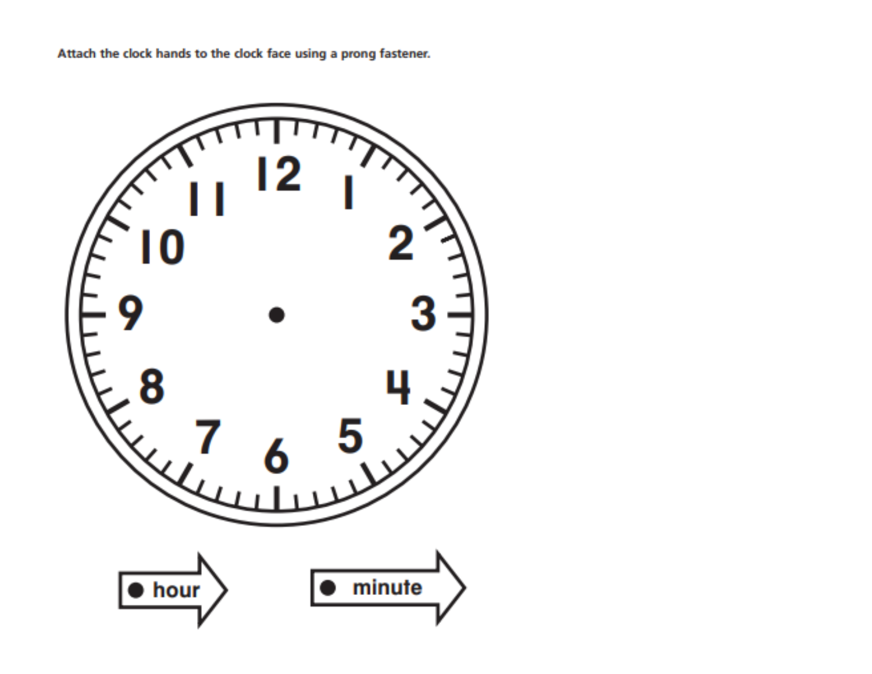Attach the clock hands to the clock face using a prong fastener.